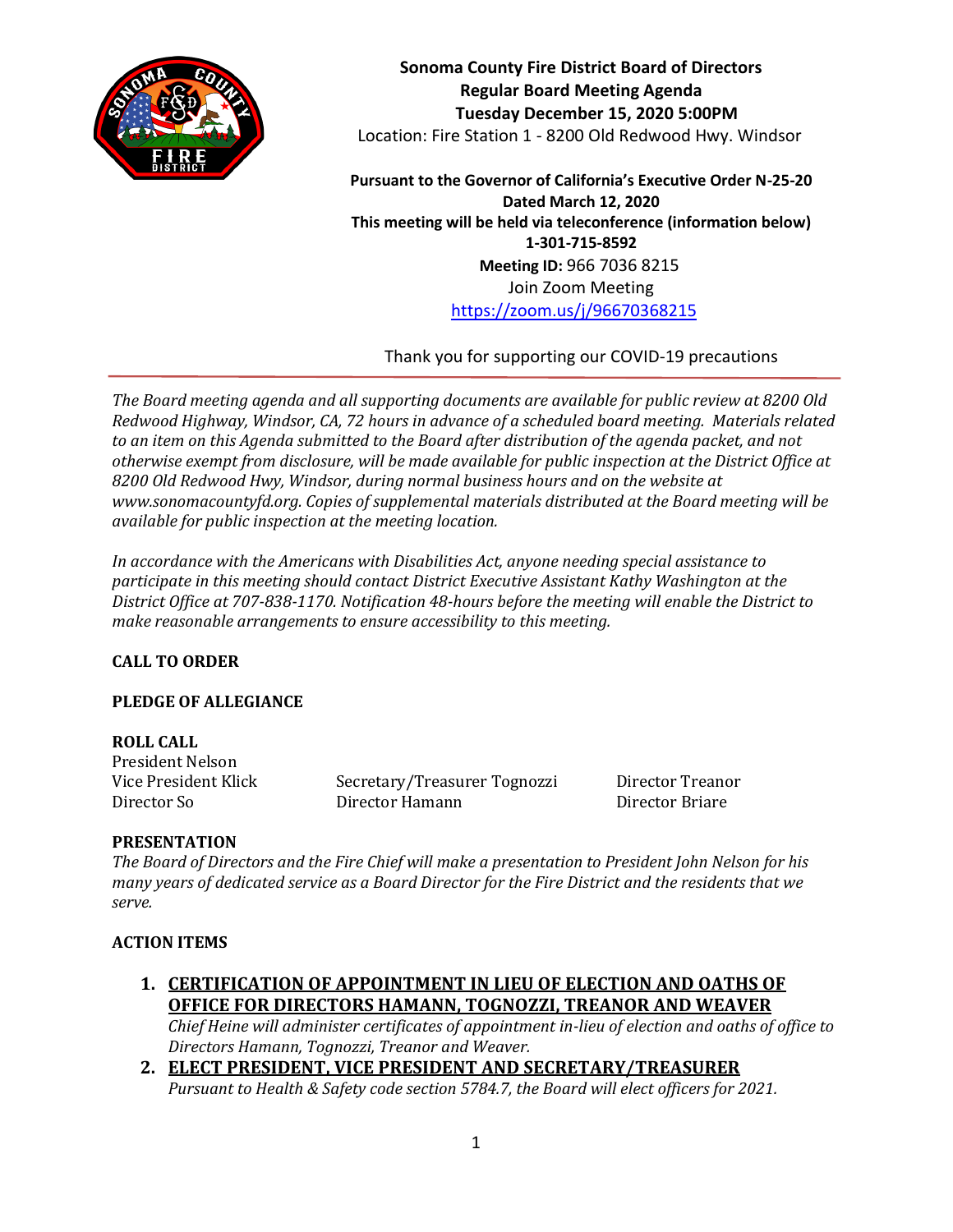

**Sonoma County Fire District Board of Directors Regular Board Meeting Agenda Tuesday December 15, 2020 5:00PM** Location: Fire Station 1 - 8200 Old Redwood Hwy. Windsor

**Pursuant to the Governor of California's Executive Order N-25-20 Dated March 12, 2020 This meeting will be held via teleconference (information below) 1-301-715-8592 Meeting ID:** 966 7036 8215 Join Zoom Meeting <https://zoom.us/j/96670368215>

Thank you for supporting our COVID-19 precautions

*The Board meeting agenda and all supporting documents are available for public review at 8200 Old Redwood Highway, Windsor, CA, 72 hours in advance of a scheduled board meeting. Materials related to an item on this Agenda submitted to the Board after distribution of the agenda packet, and not otherwise exempt from disclosure, will be made available for public inspection at the District Office at 8200 Old Redwood Hwy, Windsor, during normal business hours and on the website at www.sonomacountyfd.org. Copies of supplemental materials distributed at the Board meeting will be available for public inspection at the meeting location.*

*In accordance with the Americans with Disabilities Act, anyone needing special assistance to participate in this meeting should contact District Executive Assistant Kathy Washington at the District Office at 707-838-1170. Notification 48-hours before the meeting will enable the District to make reasonable arrangements to ensure accessibility to this meeting.*

# **CALL TO ORDER**

# **PLEDGE OF ALLEGIANCE**

## **ROLL CALL**

President Nelson

Vice President Klick Secretary/Treasurer Tognozzi Director Treanor Director So Director Hamann Director Briare

## **PRESENTATION**

*The Board of Directors and the Fire Chief will make a presentation to President John Nelson for his many years of dedicated service as a Board Director for the Fire District and the residents that we serve.*

## **ACTION ITEMS**

**1. CERTIFICATION OF APPOINTMENT IN LIEU OF ELECTION AND OATHS OF OFFICE FOR DIRECTORS HAMANN, TOGNOZZI, TREANOR AND WEAVER**

*Chief Heine will administer certificates of appointment in-lieu of election and oaths of office to Directors Hamann, Tognozzi, Treanor and Weaver.*

**2. ELECT PRESIDENT, VICE PRESIDENT AND SECRETARY/TREASURER** *Pursuant to Health & Safety code section 5784.7, the Board will elect officers for 2021.*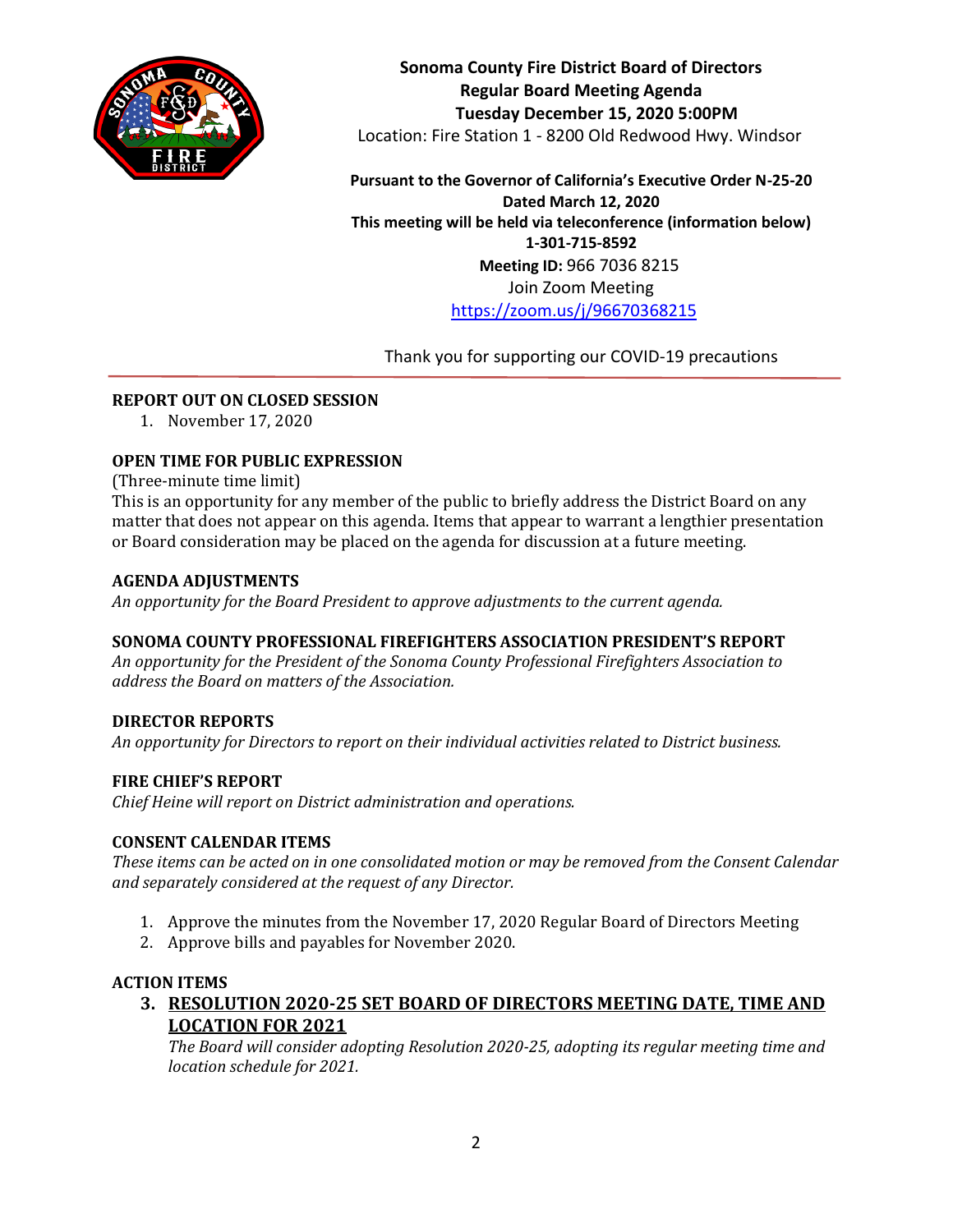

**Sonoma County Fire District Board of Directors Regular Board Meeting Agenda Tuesday December 15, 2020 5:00PM** Location: Fire Station 1 - 8200 Old Redwood Hwy. Windsor

**Pursuant to the Governor of California's Executive Order N-25-20 Dated March 12, 2020 This meeting will be held via teleconference (information below) 1-301-715-8592 Meeting ID:** 966 7036 8215 Join Zoom Meeting <https://zoom.us/j/96670368215>

Thank you for supporting our COVID-19 precautions

## **REPORT OUT ON CLOSED SESSION**

1. November 17, 2020

## **OPEN TIME FOR PUBLIC EXPRESSION**

(Three-minute time limit)

This is an opportunity for any member of the public to briefly address the District Board on any matter that does not appear on this agenda. Items that appear to warrant a lengthier presentation or Board consideration may be placed on the agenda for discussion at a future meeting.

#### **AGENDA ADJUSTMENTS**

*An opportunity for the Board President to approve adjustments to the current agenda.*

## **SONOMA COUNTY PROFESSIONAL FIREFIGHTERS ASSOCIATION PRESIDENT'S REPORT**

*An opportunity for the President of the Sonoma County Professional Firefighters Association to address the Board on matters of the Association.*

#### **DIRECTOR REPORTS**

*An opportunity for Directors to report on their individual activities related to District business.*

#### **FIRE CHIEF'S REPORT**

*Chief Heine will report on District administration and operations.*

#### **CONSENT CALENDAR ITEMS**

*These items can be acted on in one consolidated motion or may be removed from the Consent Calendar and separately considered at the request of any Director.*

- 1. Approve the minutes from the November 17, 2020 Regular Board of Directors Meeting
- 2. Approve bills and payables for November 2020.

#### **ACTION ITEMS**

**3. RESOLUTION 2020-25 SET BOARD OF DIRECTORS MEETING DATE, TIME AND LOCATION FOR 2021**

*The Board will consider adopting Resolution 2020-25, adopting its regular meeting time and location schedule for 2021.*